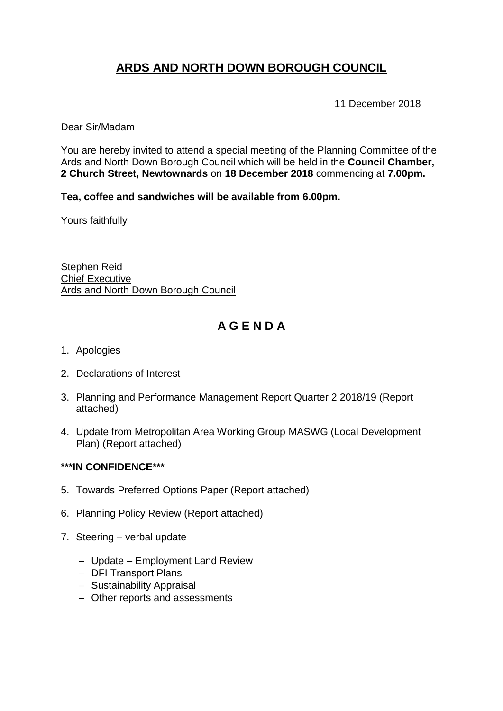# **ARDS AND NORTH DOWN BOROUGH COUNCIL**

11 December 2018

Dear Sir/Madam

You are hereby invited to attend a special meeting of the Planning Committee of the Ards and North Down Borough Council which will be held in the **Council Chamber, 2 Church Street, Newtownards** on **18 December 2018** commencing at **7.00pm.**

#### **Tea, coffee and sandwiches will be available from 6.00pm.**

Yours faithfully

Stephen Reid Chief Executive Ards and North Down Borough Council

# **A G E N D A**

- 1. Apologies
- 2. Declarations of Interest
- 3. Planning and Performance Management Report Quarter 2 2018/19 (Report attached)
- 4. Update from Metropolitan Area Working Group MASWG (Local Development Plan) (Report attached)

#### **\*\*\*IN CONFIDENCE\*\*\***

- 5. Towards Preferred Options Paper (Report attached)
- 6. Planning Policy Review (Report attached)
- 7. Steering verbal update
	- Update Employment Land Review
	- DFI Transport Plans
	- Sustainability Appraisal
	- Other reports and assessments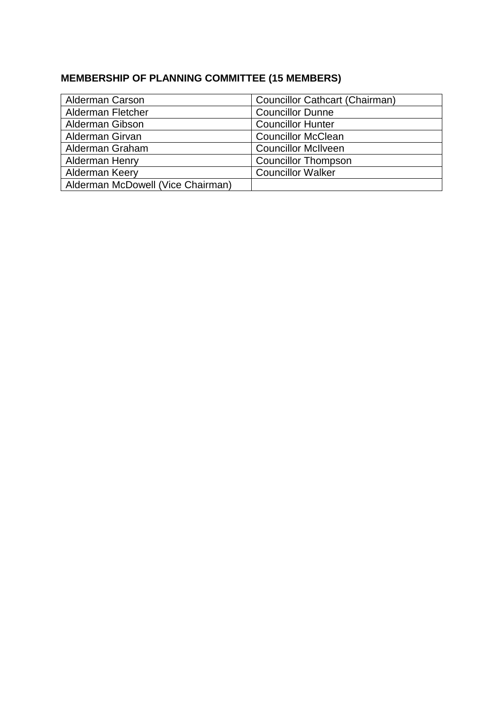# **MEMBERSHIP OF PLANNING COMMITTEE (15 MEMBERS)**

| <b>Alderman Carson</b>            | <b>Councillor Cathcart (Chairman)</b> |
|-----------------------------------|---------------------------------------|
| Alderman Fletcher                 | <b>Councillor Dunne</b>               |
| <b>Alderman Gibson</b>            | <b>Councillor Hunter</b>              |
| Alderman Girvan                   | <b>Councillor McClean</b>             |
| Alderman Graham                   | <b>Councillor McIlveen</b>            |
| <b>Alderman Henry</b>             | <b>Councillor Thompson</b>            |
| Alderman Keery                    | <b>Councillor Walker</b>              |
| Alderman McDowell (Vice Chairman) |                                       |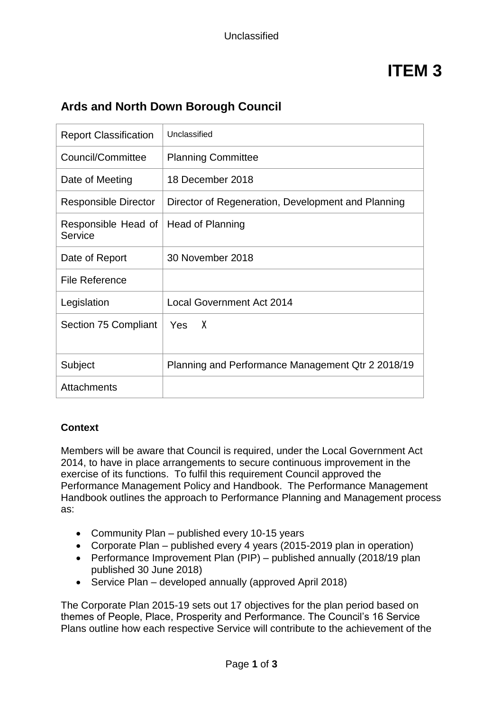# **ITEM 3**

# **Ards and North Down Borough Council**

| <b>Report Classification</b>   | Unclassified                                       |
|--------------------------------|----------------------------------------------------|
| Council/Committee              | <b>Planning Committee</b>                          |
| Date of Meeting                | 18 December 2018                                   |
| <b>Responsible Director</b>    | Director of Regeneration, Development and Planning |
| Responsible Head of<br>Service | Head of Planning                                   |
| Date of Report                 | 30 November 2018                                   |
| File Reference                 |                                                    |
| Legislation                    | <b>Local Government Act 2014</b>                   |
| Section 75 Compliant           | Yes X                                              |
| Subject                        | Planning and Performance Management Qtr 2 2018/19  |
| Attachments                    |                                                    |

### **Context**

Members will be aware that Council is required, under the Local Government Act 2014, to have in place arrangements to secure continuous improvement in the exercise of its functions. To fulfil this requirement Council approved the Performance Management Policy and Handbook. The Performance Management Handbook outlines the approach to Performance Planning and Management process as:

- Community Plan published every 10-15 years
- Corporate Plan published every 4 years (2015-2019 plan in operation)
- Performance Improvement Plan (PIP) published annually (2018/19 plan published 30 June 2018)
- Service Plan developed annually (approved April 2018)

The Corporate Plan 2015-19 sets out 17 objectives for the plan period based on themes of People, Place, Prosperity and Performance. The Council's 16 Service Plans outline how each respective Service will contribute to the achievement of the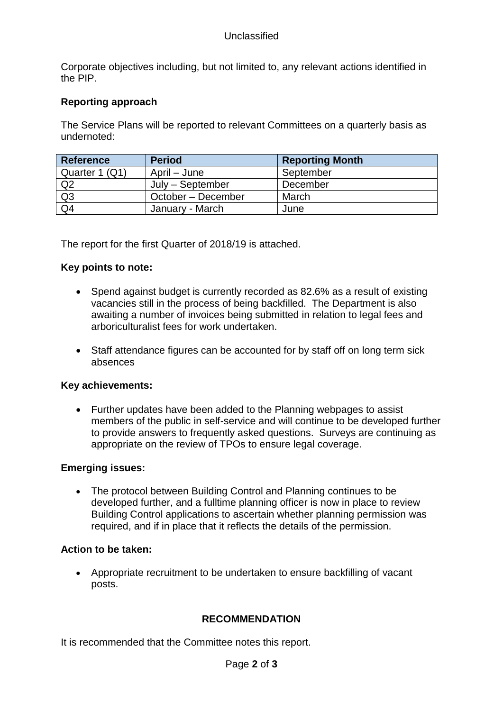#### Unclassified

Corporate objectives including, but not limited to, any relevant actions identified in the PIP.

#### **Reporting approach**

The Service Plans will be reported to relevant Committees on a quarterly basis as undernoted:

| Reference      | <b>Period</b>      | <b>Reporting Month</b> |
|----------------|--------------------|------------------------|
| Quarter 1 (Q1) | April – June       | September              |
| $\sqrt{Q^2}$   | July - September   | December               |
| Q3             | October – December | March                  |
| Q4             | January - March    | June                   |

The report for the first Quarter of 2018/19 is attached.

#### **Key points to note:**

- Spend against budget is currently recorded as 82.6% as a result of existing vacancies still in the process of being backfilled. The Department is also awaiting a number of invoices being submitted in relation to legal fees and arboriculturalist fees for work undertaken.
- Staff attendance figures can be accounted for by staff off on long term sick absences

#### **Key achievements:**

• Further updates have been added to the Planning webpages to assist members of the public in self-service and will continue to be developed further to provide answers to frequently asked questions. Surveys are continuing as appropriate on the review of TPOs to ensure legal coverage.

#### **Emerging issues:**

• The protocol between Building Control and Planning continues to be developed further, and a fulltime planning officer is now in place to review Building Control applications to ascertain whether planning permission was required, and if in place that it reflects the details of the permission.

#### **Action to be taken:**

• Appropriate recruitment to be undertaken to ensure backfilling of vacant posts.

#### **RECOMMENDATION**

It is recommended that the Committee notes this report.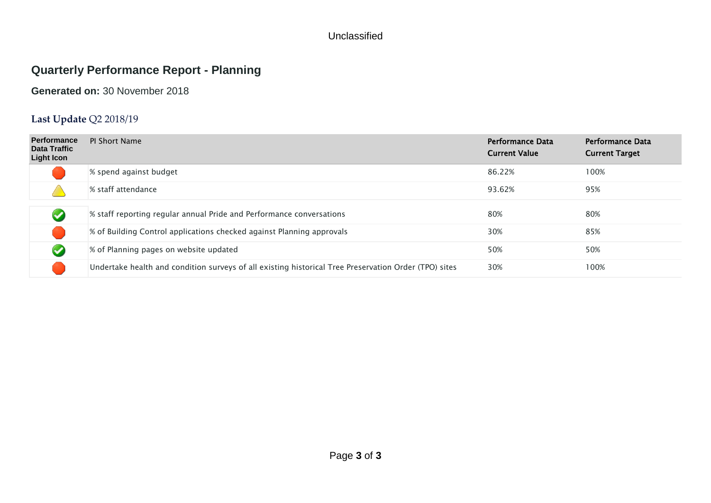#### Unclassified

# **Quarterly Performance Report - Planning**

### **Generated on:** 30 November 2018

# **Last Update** Q2 2018/19

| <b>Performance</b><br>Data Traffic<br><b>Light Icon</b> | <b>PI Short Name</b>                                                                                  | <b>Performance Data</b><br><b>Current Value</b> | <b>Performance Data</b><br><b>Current Target</b> |
|---------------------------------------------------------|-------------------------------------------------------------------------------------------------------|-------------------------------------------------|--------------------------------------------------|
|                                                         | % spend against budget                                                                                | 86.22%                                          | 100%                                             |
|                                                         | % staff attendance                                                                                    | 93.62%                                          | 95%                                              |
|                                                         |                                                                                                       |                                                 |                                                  |
| $\blacktriangleright$                                   | % staff reporting regular annual Pride and Performance conversations                                  | 80%                                             | 80%                                              |
|                                                         | % of Building Control applications checked against Planning approvals                                 | 30%                                             | 85%                                              |
| $\blacktriangledown$                                    | % of Planning pages on website updated                                                                | 50%                                             | 50%                                              |
|                                                         | Undertake health and condition surveys of all existing historical Tree Preservation Order (TPO) sites | 30%                                             | 100%                                             |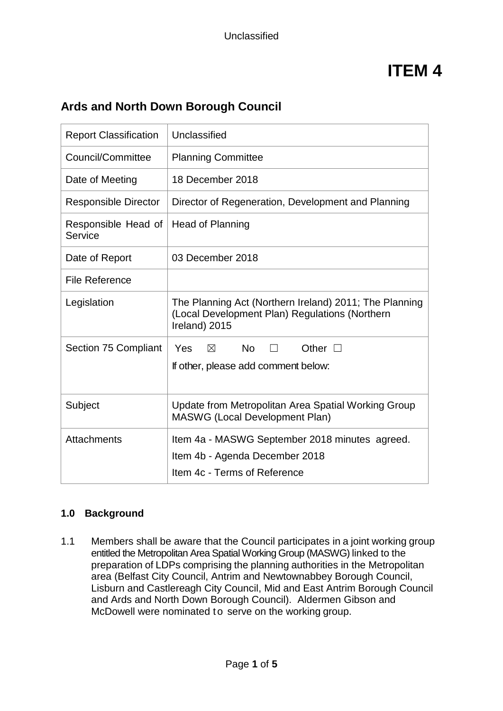# **Ards and North Down Borough Council**

| <b>Report Classification</b>   | Unclassified                                                                                                              |
|--------------------------------|---------------------------------------------------------------------------------------------------------------------------|
| Council/Committee              | <b>Planning Committee</b>                                                                                                 |
| Date of Meeting                | 18 December 2018                                                                                                          |
| <b>Responsible Director</b>    | Director of Regeneration, Development and Planning                                                                        |
| Responsible Head of<br>Service | Head of Planning                                                                                                          |
| Date of Report                 | 03 December 2018                                                                                                          |
| <b>File Reference</b>          |                                                                                                                           |
| Legislation                    | The Planning Act (Northern Ireland) 2011; The Planning<br>(Local Development Plan) Regulations (Northern<br>Ireland) 2015 |
| Section 75 Compliant           | <b>No</b><br><b>Yes</b><br>$\boxtimes$<br>Other $\square$<br>П<br>If other, please add comment below:                     |
| Subject                        | Update from Metropolitan Area Spatial Working Group<br><b>MASWG (Local Development Plan)</b>                              |
| <b>Attachments</b>             | Item 4a - MASWG September 2018 minutes agreed.<br>Item 4b - Agenda December 2018<br>Item 4c - Terms of Reference          |

#### **1.0 Background**

1.1 Members shall be aware that the Council participates in a joint working group entitled the Metropolitan Area Spatial Working Group (MASWG) linked to the preparation of LDPs comprising the planning authorities in the Metropolitan area (Belfast City Council, Antrim and Newtownabbey Borough Council, Lisburn and Castlereagh City Council, Mid and East Antrim Borough Council and Ards and North Down Borough Council). Aldermen Gibson and McDowell were nominated to serve on the working group.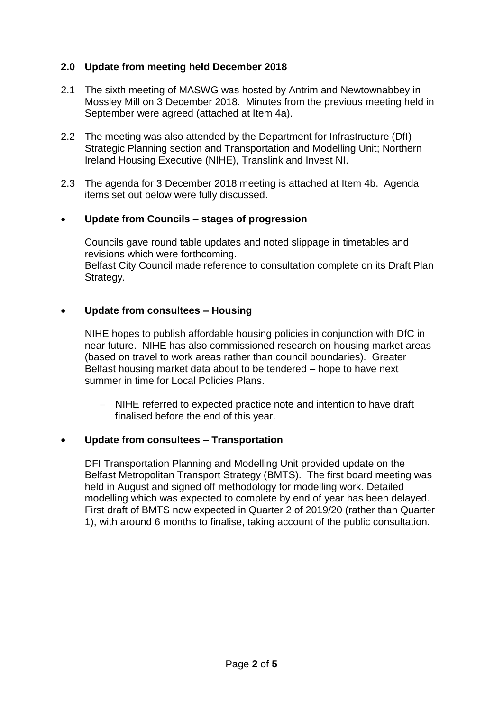#### **2.0 Update from meeting held December 2018**

- 2.1 The sixth meeting of MASWG was hosted by Antrim and Newtownabbey in Mossley Mill on 3 December 2018. Minutes from the previous meeting held in September were agreed (attached at Item 4a).
- 2.2 The meeting was also attended by the Department for Infrastructure (DfI) Strategic Planning section and Transportation and Modelling Unit; Northern Ireland Housing Executive (NIHE), Translink and Invest NI.
- 2.3 The agenda for 3 December 2018 meeting is attached at Item 4b. Agenda items set out below were fully discussed.

#### • **Update from Councils – stages of progression**

Councils gave round table updates and noted slippage in timetables and revisions which were forthcoming. Belfast City Council made reference to consultation complete on its Draft Plan Strategy.

#### • **Update from consultees – Housing**

NIHE hopes to publish affordable housing policies in conjunction with DfC in near future. NIHE has also commissioned research on housing market areas (based on travel to work areas rather than council boundaries). Greater Belfast housing market data about to be tendered – hope to have next summer in time for Local Policies Plans.

 NIHE referred to expected practice note and intention to have draft finalised before the end of this year.

#### • **Update from consultees – Transportation**

DFI Transportation Planning and Modelling Unit provided update on the Belfast Metropolitan Transport Strategy (BMTS). The first board meeting was held in August and signed off methodology for modelling work. Detailed modelling which was expected to complete by end of year has been delayed. First draft of BMTS now expected in Quarter 2 of 2019/20 (rather than Quarter 1), with around 6 months to finalise, taking account of the public consultation.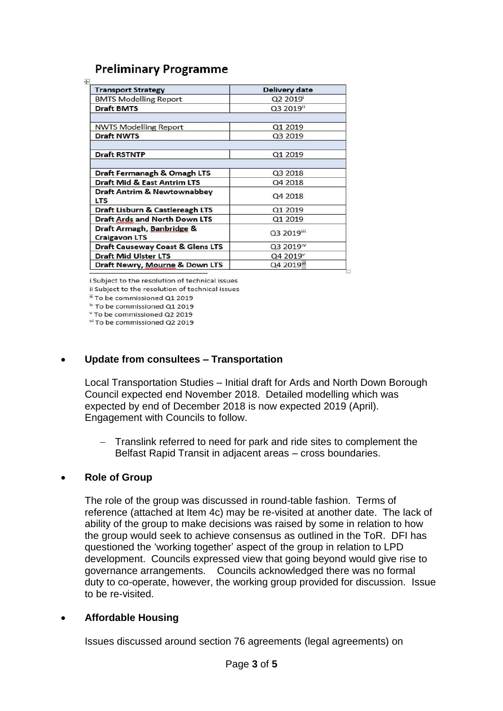# **Preliminary Programme**

| <b>Transport Strategy</b>                         | Delivery date         |
|---------------------------------------------------|-----------------------|
| <b>BMTS Modelling Report</b>                      | Q2 2019               |
| <b>Draft BMTS</b>                                 | Q3 2019ii             |
| <b>NWTS Modelling Report</b>                      | Q1 2019               |
| <b>Draft NWTS</b>                                 | Q3 2019               |
| <b>Draft RSTNTP</b>                               | Q1 2019               |
| Draft Fermanagh & Omagh LTS                       | Q3 2018               |
| <b>Draft Mid &amp; East Antrim LTS</b>            | Q4 2018               |
| Draft Antrim & Newtownabbey<br><b>LTS</b>         | Q4 2018               |
| Draft Lisburn & Castlereagh LTS                   | Q1 2019               |
| Draft Ards and North Down LTS                     | Q1 2019               |
| Draft Armagh, Banbridge &<br><b>Craigavon LTS</b> | Q3 2019iii            |
| <b>Draft Causeway Coast &amp; Glens LTS</b>       | Q3 2019 <sup>iv</sup> |
| <b>Draft Mid Ulster LTS</b>                       | Q4 2019 <sup>v</sup>  |
| Draft Newry, Mourne & Down LTS                    | Q4 2019 <sup>vi</sup> |

i Subject to the resolution of technical issues

ii Subject to the resolution of technical issues

iii To be commissioned Q1 2019 <sup>iv</sup> To be commissioned Q1 2019

<sup>v</sup> To be commissioned Q2 2019

<sup>vi</sup> To be commissioned Q2 2019

#### • **Update from consultees – Transportation**

Local Transportation Studies – Initial draft for Ards and North Down Borough Council expected end November 2018. Detailed modelling which was expected by end of December 2018 is now expected 2019 (April). Engagement with Councils to follow.

 Translink referred to need for park and ride sites to complement the Belfast Rapid Transit in adjacent areas – cross boundaries.

#### • **Role of Group**

The role of the group was discussed in round-table fashion. Terms of reference (attached at Item 4c) may be re-visited at another date. The lack of ability of the group to make decisions was raised by some in relation to how the group would seek to achieve consensus as outlined in the ToR. DFI has questioned the 'working together' aspect of the group in relation to LPD development. Councils expressed view that going beyond would give rise to governance arrangements. Councils acknowledged there was no formal duty to co-operate, however, the working group provided for discussion. Issue to be re-visited.

#### • **Affordable Housing**

Issues discussed around section 76 agreements (legal agreements) on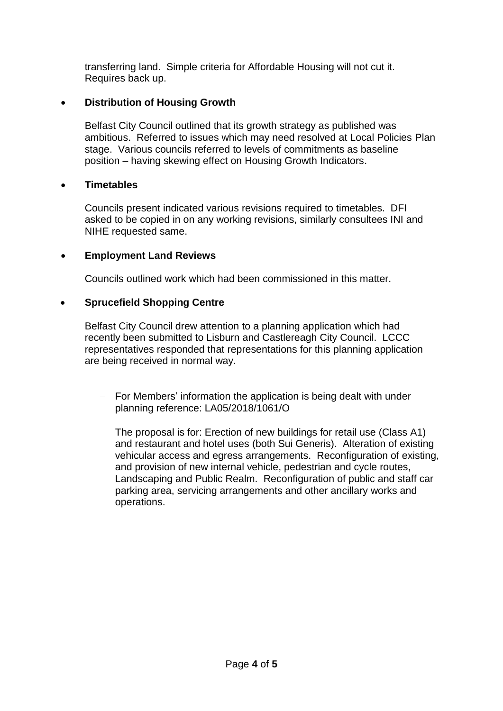transferring land. Simple criteria for Affordable Housing will not cut it. Requires back up.

#### • **Distribution of Housing Growth**

Belfast City Council outlined that its growth strategy as published was ambitious. Referred to issues which may need resolved at Local Policies Plan stage. Various councils referred to levels of commitments as baseline position – having skewing effect on Housing Growth Indicators.

#### • **Timetables**

Councils present indicated various revisions required to timetables. DFI asked to be copied in on any working revisions, similarly consultees INI and NIHE requested same.

#### • **Employment Land Reviews**

Councils outlined work which had been commissioned in this matter.

#### • **Sprucefield Shopping Centre**

Belfast City Council drew attention to a planning application which had recently been submitted to Lisburn and Castlereagh City Council. LCCC representatives responded that representations for this planning application are being received in normal way.

- $-$  For Members' information the application is being dealt with under planning reference: LA05/2018/1061/O
- The proposal is for: Erection of new buildings for retail use (Class A1) and restaurant and hotel uses (both Sui Generis). Alteration of existing vehicular access and egress arrangements. Reconfiguration of existing, and provision of new internal vehicle, pedestrian and cycle routes, Landscaping and Public Realm. Reconfiguration of public and staff car parking area, servicing arrangements and other ancillary works and operations.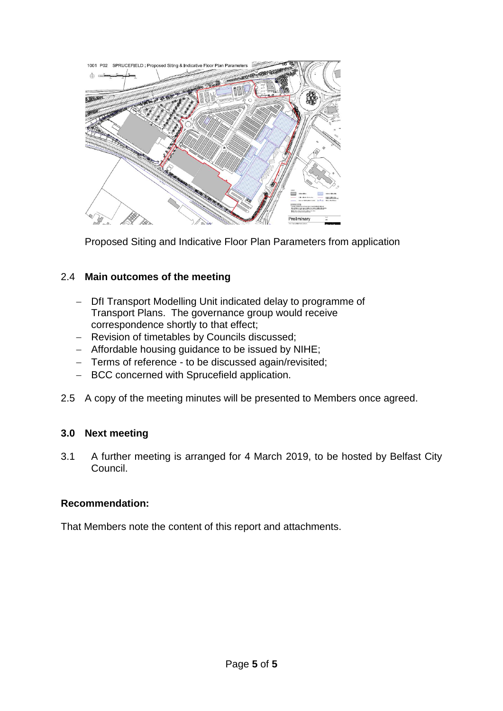

Proposed Siting and Indicative Floor Plan Parameters from application

#### 2.4 **Main outcomes of the meeting**

- Dfl Transport Modelling Unit indicated delay to programme of Transport Plans. The governance group would receive correspondence shortly to that effect;
- Revision of timetables by Councils discussed;
- Affordable housing guidance to be issued by NIHE;
- Terms of reference to be discussed again/revisited;
- BCC concerned with Sprucefield application.
- 2.5 A copy of the meeting minutes will be presented to Members once agreed.

### **3.0 Next meeting**

3.1 A further meeting is arranged for 4 March 2019, to be hosted by Belfast City Council.

#### **Recommendation:**

That Members note the content of this report and attachments.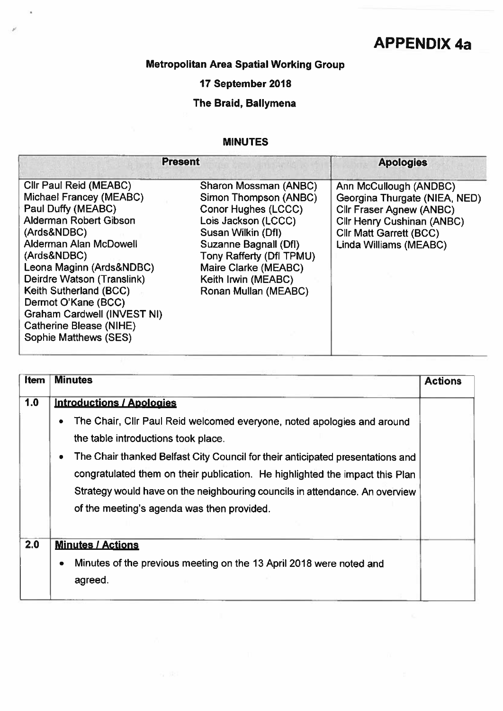# **APPENDIX 4a**

# Metropolitan Area Spatial Working Group

J.

## 17 September 2018

# The Braid, Ballymena

#### **MINUTES**

| <b>Present</b>                                                                                                                                                                                                                                                                                                                                                 |                                                                                                                                                                                                                                                | <b>Apologies</b>                                                                                                                                                                            |
|----------------------------------------------------------------------------------------------------------------------------------------------------------------------------------------------------------------------------------------------------------------------------------------------------------------------------------------------------------------|------------------------------------------------------------------------------------------------------------------------------------------------------------------------------------------------------------------------------------------------|---------------------------------------------------------------------------------------------------------------------------------------------------------------------------------------------|
| Cllr Paul Reid (MEABC)<br>Michael Francey (MEABC)<br>Paul Duffy (MEABC)<br>Alderman Robert Gibson<br>(Ards&NDBC)<br>Alderman Alan McDowell<br>(Ards&NDBC)<br>Leona Maginn (Ards&NDBC)<br>Deirdre Watson (Translink)<br>Keith Sutherland (BCC)<br>Dermot O'Kane (BCC)<br>Graham Cardwell (INVEST NI)<br><b>Catherine Blease (NIHE)</b><br>Sophie Matthews (SES) | Sharon Mossman (ANBC)<br>Simon Thompson (ANBC)<br>Conor Hughes (LCCC)<br>Lois Jackson (LCCC)<br>Susan Wilkin (Dfl)<br>Suzanne Bagnall (Dfl)<br>Tony Rafferty (Dfl TPMU)<br>Maire Clarke (MEABC)<br>Keith Irwin (MEABC)<br>Ronan Mullan (MEABC) | Ann McCullough (ANDBC)<br>Georgina Thurgate (NIEA, NED)<br><b>Cllr Fraser Agnew (ANBC)</b><br><b>Cllr Henry Cushinan (ANBC)</b><br><b>Cllr Matt Garrett (BCC)</b><br>Linda Williams (MEABC) |

| Item | <b>Minutes</b>                                                                                                                                                                                                                                                                                                                                                                                                                  | <b>Actions</b> |
|------|---------------------------------------------------------------------------------------------------------------------------------------------------------------------------------------------------------------------------------------------------------------------------------------------------------------------------------------------------------------------------------------------------------------------------------|----------------|
| 1.0  | <b>Introductions / Apologies</b>                                                                                                                                                                                                                                                                                                                                                                                                |                |
|      | The Chair, Cllr Paul Reid welcomed everyone, noted apologies and around<br>۰<br>the table introductions took place.<br>The Chair thanked Belfast City Council for their anticipated presentations and<br>$\bullet$<br>congratulated them on their publication. He highlighted the impact this Plan<br>Strategy would have on the neighbouring councils in attendance. An overview<br>of the meeting's agenda was then provided. |                |
| 2.0  | <b>Minutes / Actions</b><br>Minutes of the previous meeting on the 13 April 2018 were noted and<br>٠<br>agreed.                                                                                                                                                                                                                                                                                                                 |                |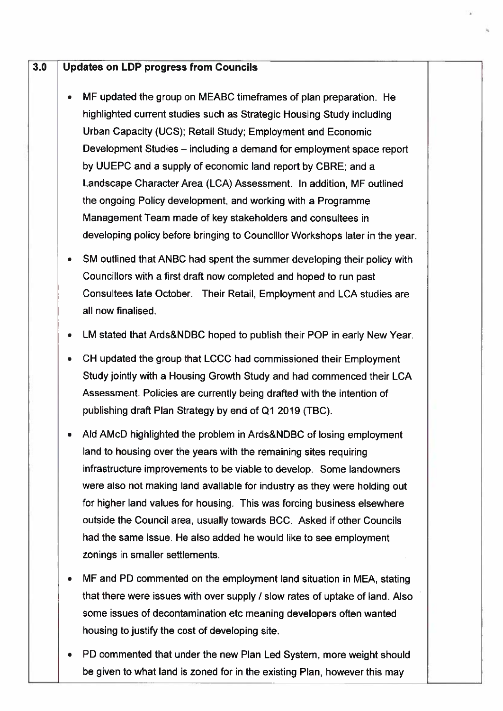#### $3.0$ **Updates on LDP progress from Councils**

- MF updated the group on MEABC timeframes of plan preparation. He highlighted current studies such as Strategic Housing Study including Urban Capacity (UCS); Retail Study; Employment and Economic Development Studies – including a demand for employment space report by UUEPC and a supply of economic land report by CBRE; and a Landscape Character Area (LCA) Assessment. In addition, MF outlined the ongoing Policy development, and working with a Programme Management Team made of key stakeholders and consultees in developing policy before bringing to Councillor Workshops later in the year.
- SM outlined that ANBC had spent the summer developing their policy with Councillors with a first draft now completed and hoped to run past Consultees late October. Their Retail, Employment and LCA studies are all now finalised
- LM stated that Ards&NDBC hoped to publish their POP in early New Year.
- CH updated the group that LCCC had commissioned their Employment Study jointly with a Housing Growth Study and had commenced their LCA Assessment. Policies are currently being drafted with the intention of publishing draft Plan Strategy by end of Q1 2019 (TBC).
- Ald AMcD highlighted the problem in Ards&NDBC of losing employment land to housing over the years with the remaining sites requiring infrastructure improvements to be viable to develop. Some landowners were also not making land available for industry as they were holding out for higher land values for housing. This was forcing business elsewhere outside the Council area, usually towards BCC. Asked if other Councils had the same issue. He also added he would like to see employment zonings in smaller settlements.
- MF and PD commented on the employment land situation in MEA, stating that there were issues with over supply / slow rates of uptake of land. Also some issues of decontamination etc meaning developers often wanted housing to justify the cost of developing site.
- PD commented that under the new Plan Led System, more weight should be given to what land is zoned for in the existing Plan, however this may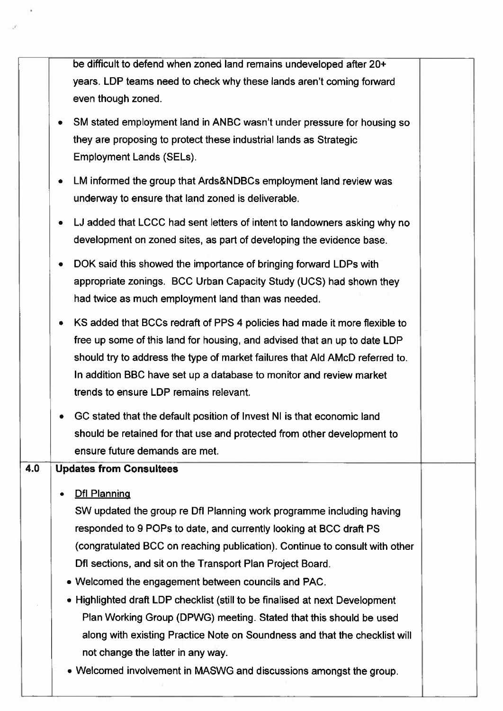be difficult to defend when zoned land remains undeveloped after 20+ years. LDP teams need to check why these lands aren't coming forward even though zoned.

- SM stated employment land in ANBC wasn't under pressure for housing so they are proposing to protect these industrial lands as Strategic **Employment Lands (SELs).**
- LM informed the group that Ards&NDBCs employment land review was underway to ensure that land zoned is deliverable.
- LJ added that LCCC had sent letters of intent to landowners asking why no development on zoned sites, as part of developing the evidence base.
- DOK said this showed the importance of bringing forward LDPs with appropriate zonings. BCC Urban Capacity Study (UCS) had shown they had twice as much employment land than was needed.
- KS added that BCCs redraft of PPS 4 policies had made it more flexible to free up some of this land for housing, and advised that an up to date LDP should try to address the type of market failures that Ald AMcD referred to. In addition BBC have set up a database to monitor and review market trends to ensure LDP remains relevant.
- GC stated that the default position of Invest NI is that economic land should be retained for that use and protected from other development to ensure future demands are met.

#### $4.0$ **Updates from Consultees**

Dfl Planning

SW updated the group re Dfl Planning work programme including having responded to 9 POPs to date, and currently looking at BCC draft PS (congratulated BCC on reaching publication). Continue to consult with other Dfl sections, and sit on the Transport Plan Project Board.

- Welcomed the engagement between councils and PAC.
- Highlighted draft LDP checklist (still to be finalised at next Development Plan Working Group (DPWG) meeting. Stated that this should be used along with existing Practice Note on Soundness and that the checklist will not change the latter in any way.
- Welcomed involvement in MASWG and discussions amongst the group.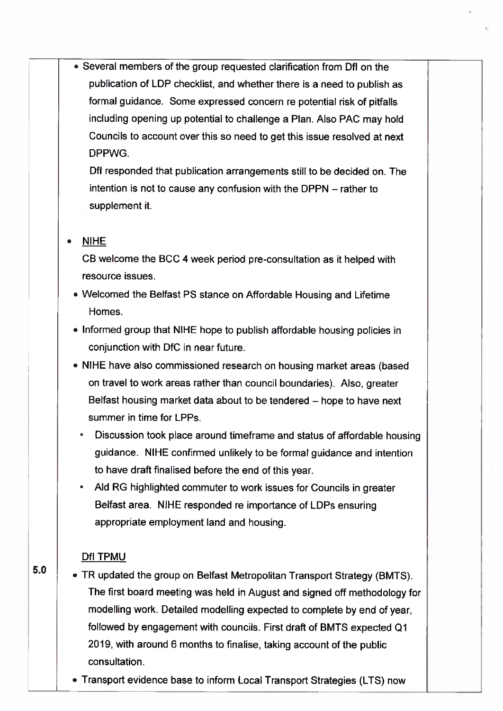• Several members of the group requested clarification from DfI on the publication of LDP checklist, and whether there is a need to publish as formal guidance. Some expressed concern re potential risk of pitfalls including opening up potential to challenge a Plan. Also PAC may hold Councils to account over this so need to get this issue resolved at next DPPWG.

> Dfl responded that publication arrangements still to be decided on. The intention is not to cause any confusion with the DPPN – rather to supplement it.

#### **NIHE**

CB welcome the BCC 4 week period pre-consultation as it helped with resource issues.

- Welcomed the Belfast PS stance on Affordable Housing and Lifetime Homes.
- Informed group that NIHE hope to publish affordable housing policies in conjunction with DfC in near future.
- NIHE have also commissioned research on housing market areas (based on travel to work areas rather than council boundaries). Also, greater Belfast housing market data about to be tendered – hope to have next summer in time for LPPs.
	- Discussion took place around timeframe and status of affordable housing guidance. NIHE confirmed unlikely to be formal guidance and intention to have draft finalised before the end of this year.
	- Ald RG highlighted commuter to work issues for Councils in greater Belfast area. NIHE responded re importance of LDPs ensuring appropriate employment land and housing.

#### DfI TPMU

 $5.0$ • TR updated the group on Belfast Metropolitan Transport Strategy (BMTS). The first board meeting was held in August and signed off methodology for modelling work. Detailed modelling expected to complete by end of year, followed by engagement with councils. First draft of BMTS expected Q1 2019, with around 6 months to finalise, taking account of the public consultation.

• Transport evidence base to inform Local Transport Strategies (LTS) now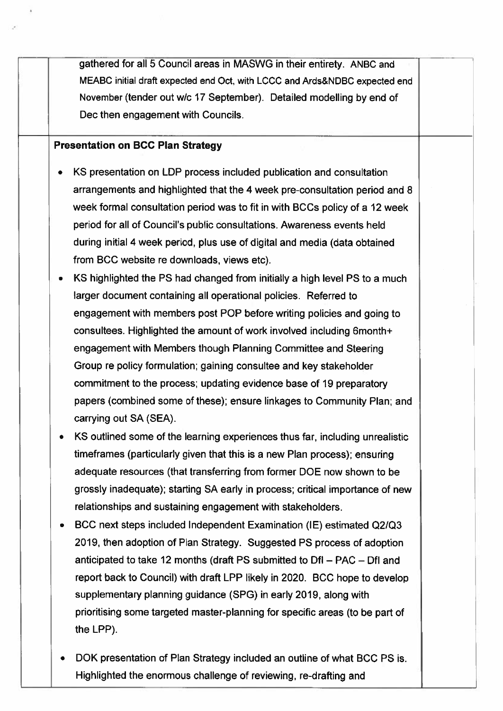gathered for all 5 Council areas in MASWG in their entirety. ANBC and MEABC initial draft expected end Oct, with LCCC and Ards&NDBC expected end November (tender out w/c 17 September). Detailed modelling by end of Dec then engagement with Councils.

#### **Presentation on BCC Plan Strategy**

- KS presentation on LDP process included publication and consultation arrangements and highlighted that the 4 week pre-consultation period and 8 week formal consultation period was to fit in with BCCs policy of a 12 week period for all of Council's public consultations. Awareness events held during initial 4 week period, plus use of digital and media (data obtained from BCC website re downloads, views etc).
- KS highlighted the PS had changed from initially a high level PS to a much larger document containing all operational policies. Referred to engagement with members post POP before writing policies and going to consultees. Highlighted the amount of work involved including 6month+ engagement with Members though Planning Committee and Steering Group re policy formulation; gaining consultee and key stakeholder commitment to the process; updating evidence base of 19 preparatory papers (combined some of these); ensure linkages to Community Plan; and carrying out SA (SEA).
- KS outlined some of the learning experiences thus far, including unrealistic timeframes (particularly given that this is a new Plan process); ensuring adequate resources (that transferring from former DOE now shown to be grossly inadequate); starting SA early in process; critical importance of new relationships and sustaining engagement with stakeholders.
- BCC next steps included Independent Examination (IE) estimated Q2/Q3 2019, then adoption of Plan Strategy. Suggested PS process of adoption anticipated to take 12 months (draft PS submitted to DfI – PAC – DfI and report back to Council) with draft LPP likely in 2020. BCC hope to develop supplementary planning guidance (SPG) in early 2019, along with prioritising some targeted master-planning for specific areas (to be part of the LPP).
- DOK presentation of Plan Strategy included an outline of what BCC PS is. Highlighted the enormous challenge of reviewing, re-drafting and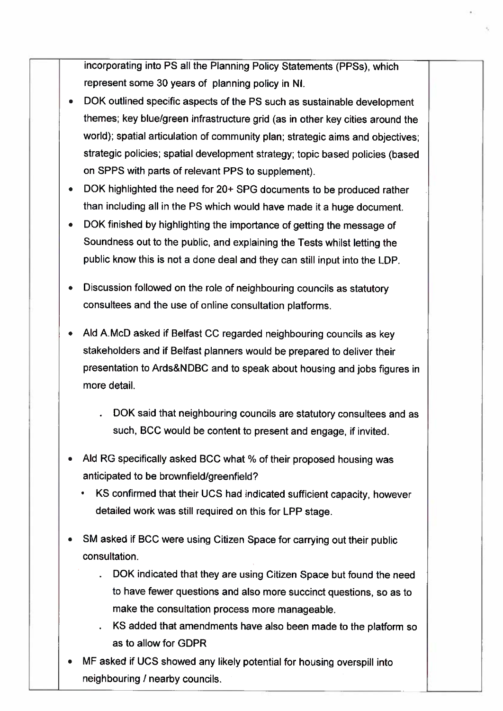incorporating into PS all the Planning Policy Statements (PPSs), which represent some 30 years of planning policy in NI.

- DOK outlined specific aspects of the PS such as sustainable development themes; key blue/green infrastructure grid (as in other key cities around the world); spatial articulation of community plan; strategic aims and objectives: strategic policies; spatial development strategy; topic based policies (based on SPPS with parts of relevant PPS to supplement).
- DOK highlighted the need for 20+ SPG documents to be produced rather than including all in the PS which would have made it a huge document.
- DOK finished by highlighting the importance of getting the message of Soundness out to the public, and explaining the Tests whilst letting the public know this is not a done deal and they can still input into the LDP.
- Discussion followed on the role of neighbouring councils as statutory consultees and the use of online consultation platforms.
- Ald A.McD asked if Belfast CC regarded neighbouring councils as key stakeholders and if Belfast planners would be prepared to deliver their presentation to Ards&NDBC and to speak about housing and jobs figures in more detail.

DOK said that neighbouring councils are statutory consultees and as such, BCC would be content to present and engage, if invited.

- Ald RG specifically asked BCC what % of their proposed housing was anticipated to be brownfield/greenfield?
	- KS confirmed that their UCS had indicated sufficient capacity, however detailed work was still required on this for LPP stage.
- SM asked if BCC were using Citizen Space for carrying out their public consultation.
	- DOK indicated that they are using Citizen Space but found the need to have fewer questions and also more succinct questions, so as to make the consultation process more manageable.
	- . KS added that amendments have also been made to the platform so as to allow for GDPR
- MF asked if UCS showed any likely potential for housing overspill into neighbouring / nearby councils.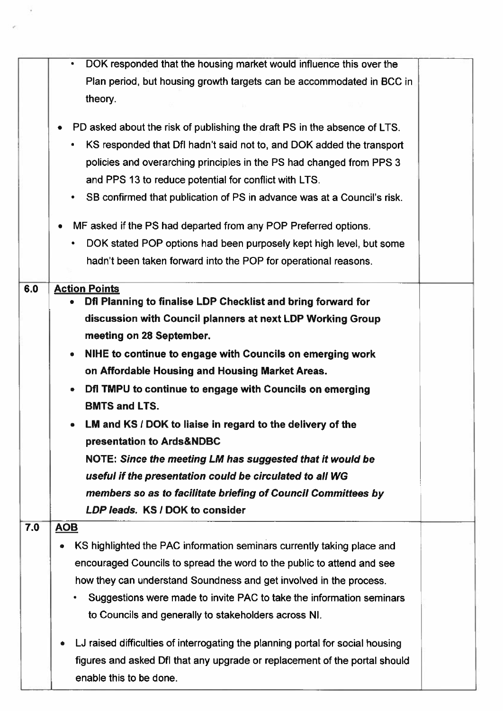|     | DOK responded that the housing market would influence this over the<br>$\bullet$<br>Plan period, but housing growth targets can be accommodated in BCC in<br>theory.                                                                                                                                                                                        |  |
|-----|-------------------------------------------------------------------------------------------------------------------------------------------------------------------------------------------------------------------------------------------------------------------------------------------------------------------------------------------------------------|--|
|     | PD asked about the risk of publishing the draft PS in the absence of LTS.<br>KS responded that DfI hadn't said not to, and DOK added the transport<br>٠<br>policies and overarching principles in the PS had changed from PPS 3                                                                                                                             |  |
|     | and PPS 13 to reduce potential for conflict with LTS.                                                                                                                                                                                                                                                                                                       |  |
|     | • SB confirmed that publication of PS in advance was at a Council's risk.                                                                                                                                                                                                                                                                                   |  |
|     | MF asked if the PS had departed from any POP Preferred options.                                                                                                                                                                                                                                                                                             |  |
|     | DOK stated POP options had been purposely kept high level, but some                                                                                                                                                                                                                                                                                         |  |
|     | hadn't been taken forward into the POP for operational reasons.                                                                                                                                                                                                                                                                                             |  |
| 6.0 | <b>Action Points</b><br>Dfl Planning to finalise LDP Checklist and bring forward for                                                                                                                                                                                                                                                                        |  |
|     | discussion with Council planners at next LDP Working Group<br>meeting on 28 September.                                                                                                                                                                                                                                                                      |  |
|     | NIHE to continue to engage with Councils on emerging work<br>۰                                                                                                                                                                                                                                                                                              |  |
|     | on Affordable Housing and Housing Market Areas.                                                                                                                                                                                                                                                                                                             |  |
|     | Dfl TMPU to continue to engage with Councils on emerging<br>$\bullet$<br><b>BMTS and LTS.</b>                                                                                                                                                                                                                                                               |  |
|     | LM and KS / DOK to liaise in regard to the delivery of the<br>presentation to Ards&NDBC                                                                                                                                                                                                                                                                     |  |
|     | NOTE: Since the meeting LM has suggested that it would be                                                                                                                                                                                                                                                                                                   |  |
|     | useful if the presentation could be circulated to all WG                                                                                                                                                                                                                                                                                                    |  |
|     | members so as to facilitate briefing of Council Committees by                                                                                                                                                                                                                                                                                               |  |
|     | LDP leads. KS / DOK to consider                                                                                                                                                                                                                                                                                                                             |  |
| 7.0 | <b>AOB</b>                                                                                                                                                                                                                                                                                                                                                  |  |
|     | KS highlighted the PAC information seminars currently taking place and<br>0<br>encouraged Councils to spread the word to the public to attend and see<br>how they can understand Soundness and get involved in the process.<br>Suggestions were made to invite PAC to take the information seminars<br>to Councils and generally to stakeholders across NI. |  |
|     | LJ raised difficulties of interrogating the planning portal for social housing<br>figures and asked Dfl that any upgrade or replacement of the portal should<br>enable this to be done.                                                                                                                                                                     |  |

¥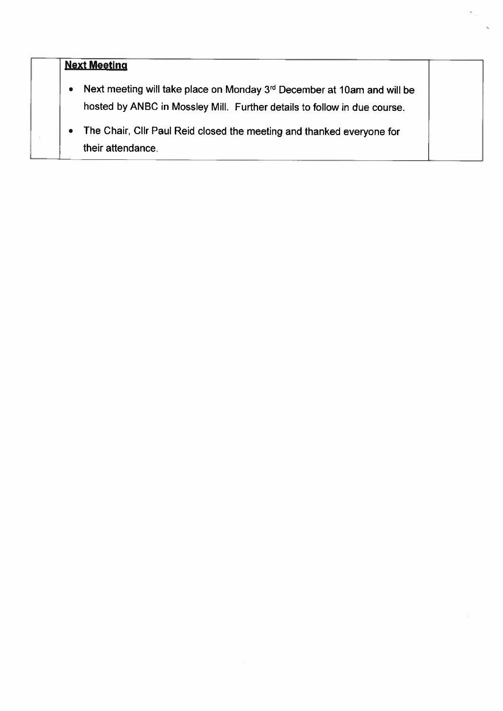# **Next Meeting**

- Next meeting will take place on Monday 3rd December at 10am and will be hosted by ANBC in Mossley Mill. Further details to follow in due course.
- The Chair, Cllr Paul Reid closed the meeting and thanked everyone for  $\bullet$ their attendance.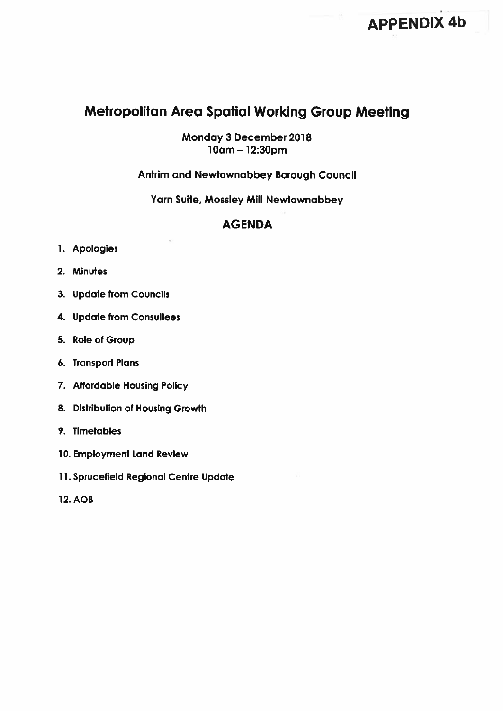# **Metropolitan Area Spatial Working Group Meeting**

Monday 3 December 2018 10am - 12:30pm

#### **Antrim and Newtownabbey Borough Council**

Yarn Suite, Mossley Mill Newtownabbey

### **AGENDA**

- 1. Apologies
- 2. Minutes
- 3. Update from Councils
- 4. Update from Consultees
- 5. Role of Group
- 6. Transport Plans
- 7. Affordable Housing Policy
- 8. Distribution of Housing Growth
- 9. Timetables
- 10. Employment Land Review
- 11. Sprucefield Regional Centre Update
- **12. AOB**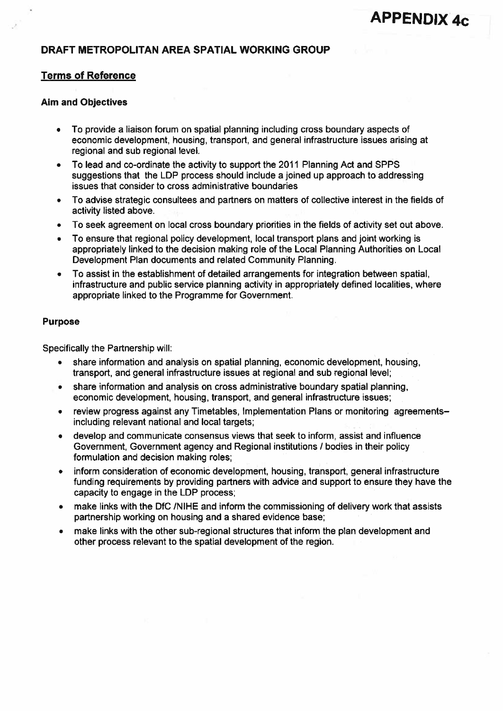#### DRAFT METROPOLITAN AREA SPATIAL WORKING GROUP

#### **Terms of Reference**

#### **Aim and Objectives**

- To provide a liaison forum on spatial planning including cross boundary aspects of  $\bullet$ economic development, housing, transport, and general infrastructure issues arising at regional and sub regional level.
- To lead and co-ordinate the activity to support the 2011 Planning Act and SPPS  $\bullet$ suggestions that the LDP process should include a joined up approach to addressing issues that consider to cross administrative boundaries
- To advise strategic consultees and partners on matters of collective interest in the fields of  $\bullet$ activity listed above.
- To seek agreement on local cross boundary priorities in the fields of activity set out above.
- To ensure that regional policy development, local transport plans and joint working is appropriately linked to the decision making role of the Local Planning Authorities on Local Development Plan documents and related Community Planning.
- To assist in the establishment of detailed arrangements for integration between spatial,  $\bullet$ infrastructure and public service planning activity in appropriately defined localities, where appropriate linked to the Programme for Government.

#### **Purpose**

Specifically the Partnership will:

- share information and analysis on spatial planning, economic development, housing, transport, and general infrastructure issues at regional and sub regional level;
- share information and analysis on cross administrative boundary spatial planning. economic development, housing, transport, and general infrastructure issues;
- review progress against any Timetables, Implementation Plans or monitoring agreements- $\bullet$ including relevant national and local targets:
- develop and communicate consensus views that seek to inform, assist and influence Government, Government agency and Regional institutions / bodies in their policy formulation and decision making roles;
- inform consideration of economic development, housing, transport, general infrastructure funding requirements by providing partners with advice and support to ensure they have the capacity to engage in the LDP process;
- make links with the DfC /NIHE and inform the commissioning of delivery work that assists  $\bullet$ partnership working on housing and a shared evidence base;
- make links with the other sub-regional structures that inform the plan development and other process relevant to the spatial development of the region.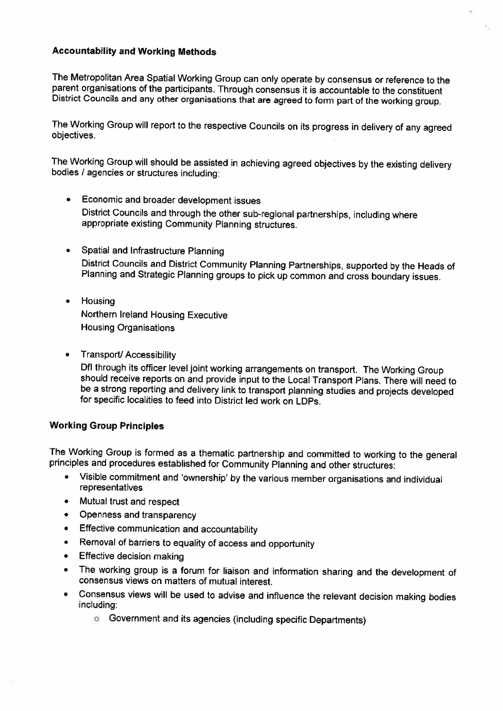#### **Accountability and Working Methods**

The Metropolitan Area Spatial Working Group can only operate by consensus or reference to the parent organisations of the participants. Through consensus it is accountable to the constituent District Councils and any other organisations that are agreed to form part of the working group.

The Working Group will report to the respective Councils on its progress in delivery of any agreed objectives.

The Working Group will should be assisted in achieving agreed objectives by the existing delivery bodies / agencies or structures including:

- Economic and broader development issues District Councils and through the other sub-regional partnerships, including where appropriate existing Community Planning structures.
- Spatial and Infrastructure Planning  $\bullet$ District Councils and District Community Planning Partnerships, supported by the Heads of Planning and Strategic Planning groups to pick up common and cross boundary issues.
- Housing  $\bullet$ Northern Ireland Housing Executive **Housing Organisations**
- $\bullet$ **Transport/ Accessibility**

Dfl through its officer level joint working arrangements on transport. The Working Group should receive reports on and provide input to the Local Transport Plans. There will need to be a strong reporting and delivery link to transport planning studies and projects developed for specific localities to feed into District led work on LDPs.

#### **Working Group Principles**

The Working Group is formed as a thematic partnership and committed to working to the general principles and procedures established for Community Planning and other structures:

- Visible commitment and 'ownership' by the various member organisations and individual  $\bullet$ representatives
- Mutual trust and respect  $\bullet$
- $\bullet$ Openness and transparency
- Effective communication and accountability  $\bullet$
- Removal of barriers to equality of access and opportunity  $\bullet$
- **Effective decision making**  $\bullet$
- The working group is a forum for liaison and information sharing and the development of  $\bullet$ consensus views on matters of mutual interest.
- Consensus views will be used to advise and influence the relevant decision making bodies  $\bullet$ including:
	- **6** Government and its agencies (including specific Departments)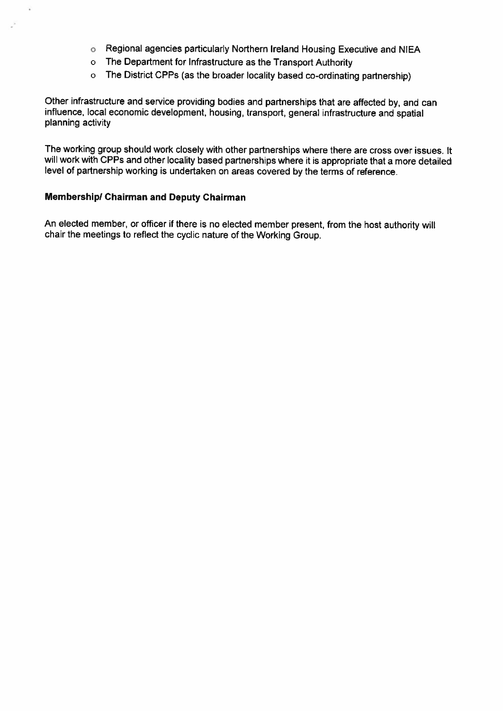- **o** Regional agencies particularly Northern Ireland Housing Executive and NIEA
- o The Department for Infrastructure as the Transport Authority
- o The District CPPs (as the broader locality based co-ordinating partnership)

Other infrastructure and service providing bodies and partnerships that are affected by, and can influence, local economic development, housing, transport, general infrastructure and spatial planning activity

The working group should work closely with other partnerships where there are cross over issues. It will work with CPPs and other locality based partnerships where it is appropriate that a more detailed level of partnership working is undertaken on areas covered by the terms of reference.

#### **Membership/ Chairman and Deputy Chairman**

An elected member, or officer if there is no elected member present, from the host authority will chair the meetings to reflect the cyclic nature of the Working Group.